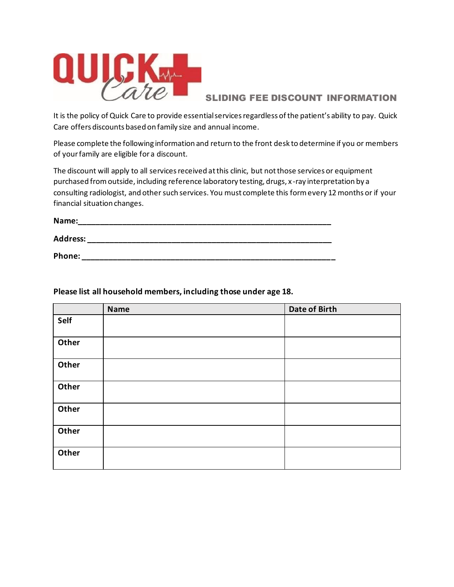

## SLIDING FEE DISCOUNT INFORMATION

It is the policy of Quick Care to provide essential services regardless of the patient's ability to pay. Quick Care offers discounts based on family size and annual income.

Please complete the following information and return to the front desk to determine if you or members of your family are eligible for a discount.

The discount will apply to all services received at this clinic, but not those services or equipment purchased from outside, including reference laboratory testing, drugs, x -ray interpretation by a consulting radiologist, and other such services. You must complete this form every 12 months or if your financial situation changes.

| Name:           |  |  |
|-----------------|--|--|
| <b>Address:</b> |  |  |
| Phone:          |  |  |

**Name Date of Birth Self Other Other Other Other Other Other**

## **Please list all household members, including those under age 18.**